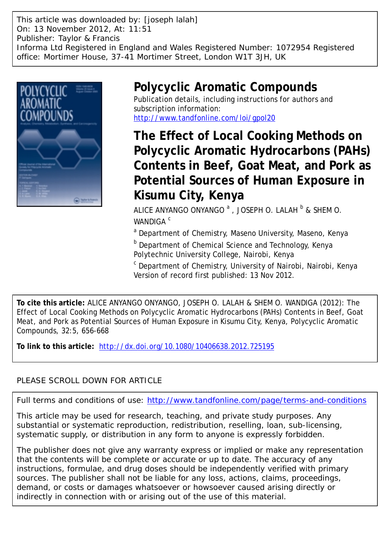This article was downloaded by: [joseph lalah] On: 13 November 2012, At: 11:51 Publisher: Taylor & Francis Informa Ltd Registered in England and Wales Registered Number: 1072954 Registered office: Mortimer House, 37-41 Mortimer Street, London W1T 3JH, UK



## **Polycyclic Aromatic Compounds**

Publication details, including instructions for authors and subscription information: <http://www.tandfonline.com/loi/gpol20>

**The Effect of Local Cooking Methods on Polycyclic Aromatic Hydrocarbons (PAHs) Contents in Beef, Goat Meat, and Pork as Potential Sources of Human Exposure in Kisumu City, Kenya**

ALICE ANYANGO ONYANGO  $^{\mathrm{a}}$  , JOSEPH O. LALAH  $^{\mathrm{b}}$  & SHEM O. WANDIGA<sup>C</sup>

<sup>a</sup> Department of Chemistry, Maseno University, Maseno, Kenya

**b** Department of Chemical Science and Technology, Kenya Polytechnic University College, Nairobi, Kenya

<sup>c</sup> Department of Chemistry, University of Nairobi, Nairobi, Kenya Version of record first published: 13 Nov 2012.

**To cite this article:** ALICE ANYANGO ONYANGO, JOSEPH O. LALAH & SHEM O. WANDIGA (2012): The Effect of Local Cooking Methods on Polycyclic Aromatic Hydrocarbons (PAHs) Contents in Beef, Goat Meat, and Pork as Potential Sources of Human Exposure in Kisumu City, Kenya, Polycyclic Aromatic Compounds, 32:5, 656-668

**To link to this article:** <http://dx.doi.org/10.1080/10406638.2012.725195>

## PLEASE SCROLL DOWN FOR ARTICLE

Full terms and conditions of use:<http://www.tandfonline.com/page/terms-and-conditions>

This article may be used for research, teaching, and private study purposes. Any substantial or systematic reproduction, redistribution, reselling, loan, sub-licensing, systematic supply, or distribution in any form to anyone is expressly forbidden.

The publisher does not give any warranty express or implied or make any representation that the contents will be complete or accurate or up to date. The accuracy of any instructions, formulae, and drug doses should be independently verified with primary sources. The publisher shall not be liable for any loss, actions, claims, proceedings, demand, or costs or damages whatsoever or howsoever caused arising directly or indirectly in connection with or arising out of the use of this material.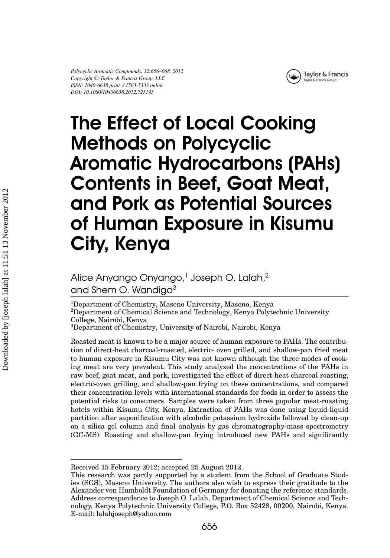

# The Effect of Local Cooking Methods on Polycyclic Aromatic Hydrocarbons (PAHs) Contents in Beef, Goat Meat, and Pork as Potential Sources of Human Exposure in Kisumu City, Kenya

Alice Anyango Onyango,<sup>1</sup> Joseph O. Lalah,<sup>2</sup> and Shem O. Wandiga<sup>3</sup>

1Department of Chemistry, Maseno University, Maseno, Kenya 2Department of Chemical Science and Technology, Kenya Polytechnic University College, Nairobi, Kenya

3Department of Chemistry, University of Nairobi, Nairobi, Kenya

Roasted meat is known to be a major source of human exposure to PAHs. The contribution of direct-heat charcoal-roasted, electric- oven grilled, and shallow-pan fried meat to human exposure in Kisumu City was not known although the three modes of cooking meat are very prevalent. This study analyzed the concentrations of the PAHs in raw beef, goat meat, and pork, investigated the effect of direct-heat charcoal roasting, electric-oven grilling, and shallow-pan frying on these concentrations, and compared their concentration levels with international standards for foods in order to assess the potential risks to consumers. Samples were taken from three popular meat-roasting hotels within Kisumu City, Kenya. Extraction of PAHs was done using liquid-liquid partition after saponification with alcoholic potassium hydroxide followed by clean-up on a silica gel column and final analysis by gas chromatography-mass spectrometry (GC-MS). Roasting and shallow-pan frying introduced new PAHs and significantly

Received 15 February 2012; accepted 25 August 2012.

This research was partly supported by a student from the School of Graduate Studies (SGS), Maseno University. The authors also wish to express their gratitude to the Alexander von Humboldt Foundation of Germany for donating the reference standards. Address correspondence to Joseph O. Lalah, Department of Chemical Science and Technology, Kenya Polytechnic University College, P.O. Box 52428, 00200, Nairobi, Kenya. E-mail: lalahjoseph@yahoo.com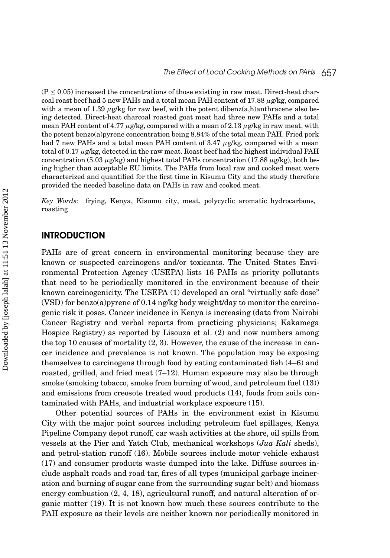$(P \leq 0.05)$  increased the concentrations of those existing in raw meat. Direct-heat charcoal roast beef had 5 new PAHs and a total mean PAH content of 17.88 *µ*g/kg, compared with a mean of 1.39  $\mu$ g/kg for raw beef, with the potent dibenz(a,h)anthracene also being detected. Direct-heat charcoal roasted goat meat had three new PAHs and a total mean PAH content of 4.77 *µ*g/kg, compared with a mean of 2.13 *µ*g/kg in raw meat, with the potent benzo(a)pyrene concentration being 8.84% of the total mean PAH. Fried pork had 7 new PAHs and a total mean PAH content of 3.47 *µ*g/kg, compared with a mean total of 0.17 *µ*g/kg, detected in the raw meat. Roast beef had the highest individual PAH concentration (5.03  $\mu$ g/kg) and highest total PAHs concentration (17.88  $\mu$ g/kg), both being higher than acceptable EU limits. The PAHs from local raw and cooked meat were characterized and quantified for the first time in Kisumu City and the study therefore provided the needed baseline data on PAHs in raw and cooked meat.

*Key Words:* frying, Kenya, Kisumu city, meat, polycyclic aromatic hydrocarbons, roasting

#### **INTRODUCTION**

PAHs are of great concern in environmental monitoring because they are known or suspected carcinogens and/or toxicants. The United States Environmental Protection Agency (USEPA) lists 16 PAHs as priority pollutants that need to be periodically monitored in the environment because of their known carcinogenicity. The USEPA (1) developed an oral "virtually safe dose" (VSD) for benzo(a)pyrene of 0.14 ng/kg body weight/day to monitor the carcinogenic risk it poses. Cancer incidence in Kenya is increasing (data from Nairobi Cancer Registry and verbal reports from practicing physicians; Kakamega Hospice Registry) as reported by Lisouza et al. (2) and now numbers among the top 10 causes of mortality (2, 3). However, the cause of the increase in cancer incidence and prevalence is not known. The population may be exposing themselves to carcinogens through food by eating contaminated fish (4–6) and roasted, grilled, and fried meat (7–12). Human exposure may also be through smoke (smoking tobacco, smoke from burning of wood, and petroleum fuel (13)) and emissions from creosote treated wood products (14), foods from soils contaminated with PAHs, and industrial workplace exposure (15).

Other potential sources of PAHs in the environment exist in Kisumu City with the major point sources including petroleum fuel spillages, Kenya Pipeline Company depot runoff, car wash activities at the shore, oil spills from vessels at the Pier and Yatch Club, mechanical workshops (*Jua Kali* sheds), and petrol-station runoff (16). Mobile sources include motor vehicle exhaust (17) and consumer products waste dumped into the lake. Diffuse sources include asphalt roads and road tar, fires of all types (municipal garbage incineration and burning of sugar cane from the surrounding sugar belt) and biomass energy combustion (2, 4, 18), agricultural runoff, and natural alteration of organic matter (19). It is not known how much these sources contribute to the PAH exposure as their levels are neither known nor periodically monitored in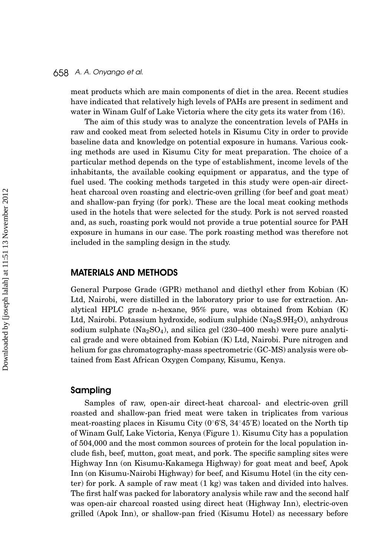meat products which are main components of diet in the area. Recent studies have indicated that relatively high levels of PAHs are present in sediment and water in Winam Gulf of Lake Victoria where the city gets its water from (16).

The aim of this study was to analyze the concentration levels of PAHs in raw and cooked meat from selected hotels in Kisumu City in order to provide baseline data and knowledge on potential exposure in humans. Various cooking methods are used in Kisumu City for meat preparation. The choice of a particular method depends on the type of establishment, income levels of the inhabitants, the available cooking equipment or apparatus, and the type of fuel used. The cooking methods targeted in this study were open-air directheat charcoal oven roasting and electric-oven grilling (for beef and goat meat) and shallow-pan frying (for pork). These are the local meat cooking methods used in the hotels that were selected for the study. Pork is not served roasted and, as such, roasting pork would not provide a true potential source for PAH exposure in humans in our case. The pork roasting method was therefore not included in the sampling design in the study.

#### MATERIALS AND METHODS

General Purpose Grade (GPR) methanol and diethyl ether from Kobian (K) Ltd, Nairobi, were distilled in the laboratory prior to use for extraction. Analytical HPLC grade n-hexane, 95% pure, was obtained from Kobian (K) Ltd, Nairobi. Potassium hydroxide, sodium sulphide  $(Na<sub>2</sub>S.9H<sub>2</sub>O)$ , anhydrous sodium sulphate  $(Na_2SO_4)$ , and silica gel (230–400 mesh) were pure analytical grade and were obtained from Kobian (K) Ltd, Nairobi. Pure nitrogen and helium for gas chromatography-mass spectrometric (GC-MS) analysis were obtained from East African Oxygen Company, Kisumu, Kenya.

#### Sampling

Samples of raw, open-air direct-heat charcoal- and electric-oven grill roasted and shallow-pan fried meat were taken in triplicates from various meat-roasting places in Kisumu City (0◦6 S, 34◦45 E) located on the North tip of Winam Gulf, Lake Victoria, Kenya (Figure 1). Kisumu City has a population of 504,000 and the most common sources of protein for the local population include fish, beef, mutton, goat meat, and pork. The specific sampling sites were Highway Inn (on Kisumu-Kakamega Highway) for goat meat and beef, Apok Inn (on Kisumu-Nairobi Highway) for beef, and Kisumu Hotel (in the city center) for pork. A sample of raw meat (1 kg) was taken and divided into halves. The first half was packed for laboratory analysis while raw and the second half was open-air charcoal roasted using direct heat (Highway Inn), electric-oven grilled (Apok Inn), or shallow-pan fried (Kisumu Hotel) as necessary before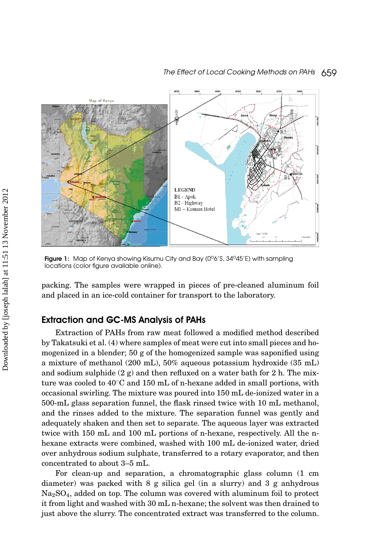

Figure 1: Map of Kenya showing Kisumu City and Bay (0°6'S, 34°45'E) with sampling locations (color figure available online).

packing. The samples were wrapped in pieces of pre-cleaned aluminum foil and placed in an ice-cold container for transport to the laboratory.

#### Extraction and GC-MS Analysis of PAHs

Extraction of PAHs from raw meat followed a modified method described by Takatsuki et al. (4) where samples of meat were cut into small pieces and homogenized in a blender; 50 g of the homogenized sample was saponified using a mixture of methanol (200 mL), 50% aqueous potassium hydroxide (35 mL) and sodium sulphide  $(2 g)$  and then refluxed on a water bath for 2 h. The mixture was cooled to  $40°C$  and 150 mL of n-hexane added in small portions, with occasional swirling. The mixture was poured into 150 mL de-ionized water in a 500-mL glass separation funnel, the flask rinsed twice with 10 mL methanol, and the rinses added to the mixture. The separation funnel was gently and adequately shaken and then set to separate. The aqueous layer was extracted twice with 150 mL and 100 mL portions of n-hexane, respectively. All the nhexane extracts were combined, washed with 100 mL de-ionized water, dried over anhydrous sodium sulphate, transferred to a rotary evaporator, and then concentrated to about 3–5 mL.

For clean-up and separation, a chromatographic glass column (1 cm diameter) was packed with 8 g silica gel (in a slurry) and 3 g anhydrous Na2SO4, added on top. The column was covered with aluminum foil to protect it from light and washed with 30 mL n-hexane; the solvent was then drained to just above the slurry. The concentrated extract was transferred to the column.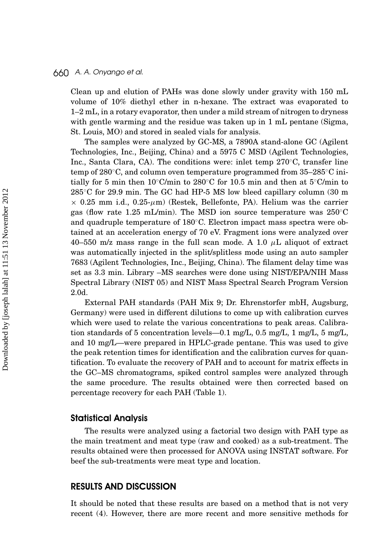Clean up and elution of PAHs was done slowly under gravity with 150 mL volume of 10% diethyl ether in n-hexane. The extract was evaporated to 1–2 mL, in a rotary evaporator, then under a mild stream of nitrogen to dryness with gentle warming and the residue was taken up in 1 mL pentane (Sigma, St. Louis, MO) and stored in sealed vials for analysis.

The samples were analyzed by GC-MS, a 7890A stand-alone GC (Agilent Technologies, Inc., Beijing, China) and a 5975 C MSD (Agilent Technologies, Inc., Santa Clara, CA). The conditions were: inlet temp 270◦C, transfer line temp of 280◦C, and column oven temperature programmed from 35–285◦C initially for 5 min then  $10<sup>o</sup>C/min to 280<sup>°</sup>C for 10.5 min and then at 5<sup>°</sup>C/min to$ 285 °C for 29.9 min. The GC had HP-5 MS low bleed capillary column (30 m  $\times$  0.25 mm i.d., 0.25- $\mu$ m) (Restek, Bellefonte, PA). Helium was the carrier gas (flow rate 1.25 mL/min). The MSD ion source temperature was  $250^{\circ}$ C and quadruple temperature of 180◦C. Electron impact mass spectra were obtained at an acceleration energy of 70 eV. Fragment ions were analyzed over 40–550 m/z mass range in the full scan mode. A 1.0 *µ*L aliquot of extract was automatically injected in the split/splitless mode using an auto sampler 7683 (Agilent Technologies, Inc., Beijing, China). The filament delay time was set as 3.3 min. Library –MS searches were done using NIST/EPA/NIH Mass Spectral Library (NIST 05) and NIST Mass Spectral Search Program Version 2.0d.

External PAH standards (PAH Mix 9; Dr. Ehrenstorfer mbH, Augsburg, Germany) were used in different dilutions to come up with calibration curves which were used to relate the various concentrations to peak areas. Calibration standards of 5 concentration levels—0.1 mg/L, 0.5 mg/L, 1 mg/L, 5 mg/L, and 10 mg/L—were prepared in HPLC-grade pentane. This was used to give the peak retention times for identification and the calibration curves for quantification. To evaluate the recovery of PAH and to account for matrix effects in the GC–MS chromatograms, spiked control samples were analyzed through the same procedure. The results obtained were then corrected based on percentage recovery for each PAH (Table 1).

#### Statistical Analysis

The results were analyzed using a factorial two design with PAH type as the main treatment and meat type (raw and cooked) as a sub-treatment. The results obtained were then processed for ANOVA using INSTAT software. For beef the sub-treatments were meat type and location.

#### RESULTS AND DISCUSSION

It should be noted that these results are based on a method that is not very recent (4). However, there are more recent and more sensitive methods for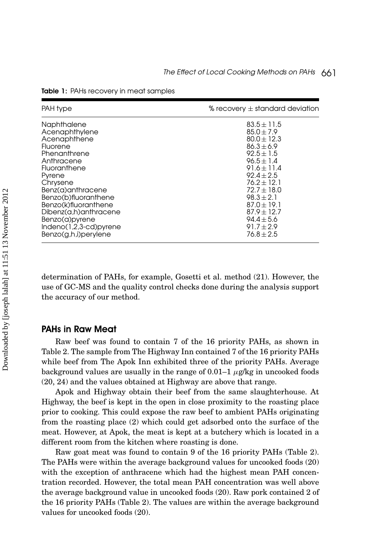| PAH type                 | % recovery $\pm$ standard deviation |
|--------------------------|-------------------------------------|
| Naphthalene              | $83.5 \pm 11.5$                     |
| Acenaphthylene           | $85.0 \pm 7.9$                      |
| Acenaphthene             | $80.0 \pm 12.3$                     |
| Fluorene                 | $86.3 \pm 6.9$                      |
| Phenanthrene             | $92.5 \pm 1.5$                      |
| Anthracene               | $96.5 \pm 1.4$                      |
| Fluoranthene             | $91.6 \pm 11.4$                     |
| Pyrene                   | $92.4 \pm 2.5$                      |
| Chrysene                 | $76.2 \pm 12.1$                     |
| Benz(a)anthracene        | $72.7 \pm 18.0$                     |
| Benzo(b)fluoranthene     | $98.3 \pm 2.1$                      |
| Benzo(k)fluoranthene     | $87.0 \pm 19.1$                     |
| Dibenz(a,h)anthracene    | $87.9 \pm 12.7$                     |
| Benzo(a)pyrene           | $94.4 \pm 5.6$                      |
| $Indeno(1,2,3-cd)pyrene$ | $91.7 \pm 2.9$                      |
| $Benzo(g,h,i)$ perylene  | $76.8 \pm 2.5$                      |

Table 1: PAHs recovery in meat samples

determination of PAHs, for example, Gosetti et al. method (21). However, the use of GC-MS and the quality control checks done during the analysis support the accuracy of our method.

#### PAHs in Raw Meat

Raw beef was found to contain 7 of the 16 priority PAHs, as shown in Table 2. The sample from The Highway Inn contained 7 of the 16 priority PAHs while beef from The Apok Inn exhibited three of the priority PAHs. Average background values are usually in the range of  $0.01-1 \mu g/kg$  in uncooked foods (20, 24) and the values obtained at Highway are above that range.

Apok and Highway obtain their beef from the same slaughterhouse. At Highway, the beef is kept in the open in close proximity to the roasting place prior to cooking. This could expose the raw beef to ambient PAHs originating from the roasting place (2) which could get adsorbed onto the surface of the meat. However, at Apok, the meat is kept at a butchery which is located in a different room from the kitchen where roasting is done.

Raw goat meat was found to contain 9 of the 16 priority PAHs (Table 2). The PAHs were within the average background values for uncooked foods (20) with the exception of anthracene which had the highest mean PAH concentration recorded. However, the total mean PAH concentration was well above the average background value in uncooked foods (20). Raw pork contained 2 of the 16 priority PAHs (Table 2). The values are within the average background values for uncooked foods (20).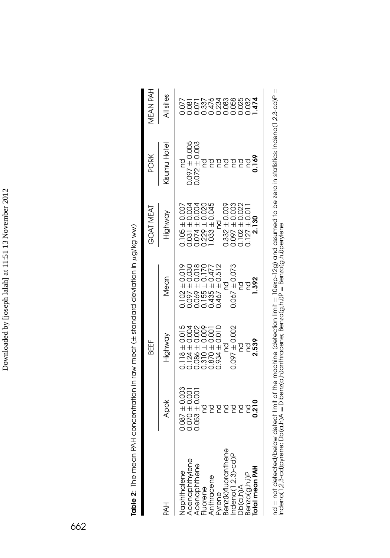| J        |
|----------|
| ł        |
|          |
| I        |
|          |
|          |
|          |
|          |
|          |
|          |
|          |
|          |
|          |
|          |
|          |
|          |
|          |
|          |
|          |
| $\vdots$ |
|          |
|          |
|          |
|          |
|          |
|          |
|          |
|          |
|          |
|          |
|          |
|          |
|          |
|          |
|          |
|          |
|          |
|          |
|          |
| ĺ        |
|          |
|          |
|          |
|          |
|          |
| j        |
|          |
| I        |
|          |
|          |
|          |
|          |

|                                                                                                                                      |                                                                                      | BEEF                                                                                                                                                                                           |                                                                                                                                                                                                                      | <b>POAT MEAT</b>                                                                                                                                                                                                                                            | PORK                                                                              | <b>HAR NAFL</b>                                                          |
|--------------------------------------------------------------------------------------------------------------------------------------|--------------------------------------------------------------------------------------|------------------------------------------------------------------------------------------------------------------------------------------------------------------------------------------------|----------------------------------------------------------------------------------------------------------------------------------------------------------------------------------------------------------------------|-------------------------------------------------------------------------------------------------------------------------------------------------------------------------------------------------------------------------------------------------------------|-----------------------------------------------------------------------------------|--------------------------------------------------------------------------|
| HAH                                                                                                                                  | Apok                                                                                 | Highway                                                                                                                                                                                        | Mean                                                                                                                                                                                                                 | Highway                                                                                                                                                                                                                                                     | <b>Aisumu Hotel</b>                                                               | All sites                                                                |
| Naphthalene<br>Acenaphthylene<br>Acenaphthene<br>Fluorene<br>Anthracene<br>Bynakhuoranthene<br>India Macoloniup<br>Docaphylenean PAH | $0.087 \pm 0.003$<br>$0.070 \pm 0.001$<br>$0.053 \pm 0.001$<br>ਫ਼ਫ਼ਫ਼ਫ਼ਫ਼ਫ਼ <b>ੵ</b> | $\begin{array}{l} 0.118\pm 0.015\\ 0.124\pm 0.0004\\ 0.086\pm 0.0002\\ 0.080\pm 0.002\\ 0.310\pm 0.000\\ 0.870\pm 0.001\\ 0.0870\pm 0.010\\ \end{array}$<br>nd<br>0.097 ± 0.002<br>nd<br>2.539 | $\begin{array}{l} 0.102\pm 0.019\\ 0.097\pm 0.030\\ 0.069\pm 0.030\\ 0.155\pm 0.170\\ 0.155\pm 0.170\\ 0.435\pm 0.477\\ 0.436\pm 0.477\\ 0.467\pm 0.512 \end{array}$<br>$0.067 \pm 0.073$<br>وو<br>1983<br>29 ج<br>g | $\begin{array}{c} 0.105\pm 0.007\\ 0.031\pm 0.004\\ 0.074\pm 0.004\\ 0.229\pm 0.020\\ 0.229\pm 0.020\\ 1.033\pm 0.045 \end{array}$<br>$\begin{array}{c} 0.332 \pm 0.009 \\ 0.097 \pm 0.003 \\ 0.102 \pm 0.022 \\ 0.127 \pm 0.011 \\ 2.139 \end{array}$<br>g | nd<br>0.097 ± 0.005<br>0.072 ± 0.003<br>0.072 ± 0.003<br>nd<br><b><u>8555</u></b> | 00000000000<br>00004000000 <b>4</b><br>20222000000 <b>4</b><br>202000000 |
|                                                                                                                                      |                                                                                      |                                                                                                                                                                                                |                                                                                                                                                                                                                      |                                                                                                                                                                                                                                                             |                                                                                   |                                                                          |

nd = not detected/below detect limit of the machine (detection limit = 10exp-12g) and assumed to be zero in statistics; Indeno(1,2,3-cd)P =<br>Indeno(1,2,3-cd)pyrene; Db(a,h)A = Dibenz(a,h)anthracene; Benzo(g,h,i)P = Benzo(g, nd = not detected/below detect limit of the machine (detection limit = 10exp-12g) and assumed to be zero in statistics; Indeno(1,2,3-cd)P = Indeno(1,2,3-cd)pyrene; Db(a,h)A = Dibenz(a,h)anthracene; Benzo(g,h,i)P = Benzo(g,h,i)perylene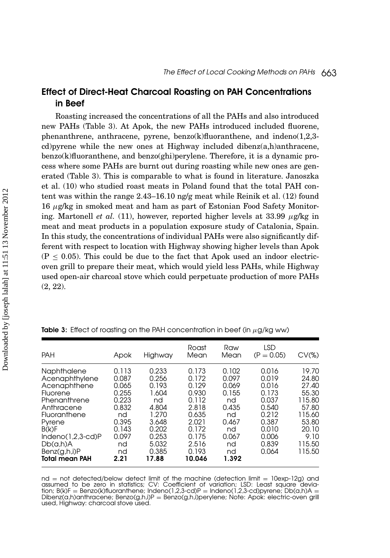## Effect of Direct-Heat Charcoal Roasting on PAH Concentrations in Beef

Roasting increased the concentrations of all the PAHs and also introduced new PAHs (Table 3). At Apok, the new PAHs introduced included fluorene, phenanthrene, anthracene, pyrene, benzo $(k)$ fluoranthene, and indeno(1,2,3cd)pyrene while the new ones at Highway included dibenz(a,h)anthracene, benzo(k)fluoranthene, and benzo(ghi)perylene. Therefore, it is a dynamic process where some PAHs are burnt out during roasting while new ones are generated (Table 3). This is comparable to what is found in literature. Janoszka et al. (10) who studied roast meats in Poland found that the total PAH content was within the range 2.43–16.10 ng/g meat while Reinik et al. (12) found 16 *µ*g/kg in smoked meat and ham as part of Estonian Food Safety Monitoring. Martonell *et al.* (11), however, reported higher levels at 33.99 *µ*g/kg in meat and meat products in a population exposure study of Catalonia, Spain. In this study, the concentrations of individual PAHs were also significantly different with respect to location with Highway showing higher levels than Apok  $(P \le 0.05)$ . This could be due to the fact that Apok used an indoor electricoven grill to prepare their meat, which would yield less PAHs, while Highway used open-air charcoal stove which could perpetuate production of more PAHs (2, 22).

| <b>PAH</b>                                                                                                                                                                                             | Apok                                                                                                    | Highway                                                                                                        | Roast<br>Mean                                                                                                      | Raw<br>Mean                                                                                        | LSD<br>$(P = 0.05)$                                                                                      | $CV(\%)$                                                                                                    |
|--------------------------------------------------------------------------------------------------------------------------------------------------------------------------------------------------------|---------------------------------------------------------------------------------------------------------|----------------------------------------------------------------------------------------------------------------|--------------------------------------------------------------------------------------------------------------------|----------------------------------------------------------------------------------------------------|----------------------------------------------------------------------------------------------------------|-------------------------------------------------------------------------------------------------------------|
| Naphthalene<br>Acenaphthylene<br>Acenaphthene<br>Fluorene<br>Phenanthrene<br>Anthracene<br>Fluoranthene<br>Pyrene<br>B(k)F<br>$Indeno(1,2,3-cd)P$<br>Db(a,h)A<br>Benz(g,h,i)P<br><b>Total mean PAH</b> | 0.113<br>0.087<br>0.065<br>0.255<br>0.223<br>0.832<br>nd<br>0.395<br>0.143<br>0.097<br>nd<br>nd<br>2.21 | 0.233<br>0.256<br>0.193<br>1.604<br>nd<br>4.804<br>1.270<br>3.648<br>0.202<br>0.253<br>5.032<br>0.385<br>17.88 | 0.173<br>0.172<br>0.129<br>0.930<br>0.112<br>2.818<br>0.635<br>2.021<br>0.172<br>0.175<br>2.516<br>0.193<br>10.046 | 0.102<br>0.097<br>0.069<br>0.155<br>nd<br>0.435<br>nd<br>0.467<br>nd<br>0.067<br>nd<br>nd<br>1.392 | 0.016<br>0.019<br>0.016<br>0.173<br>0.037<br>0.540<br>0.212<br>0.387<br>0.010<br>0.006<br>0.839<br>0.064 | 19.70<br>24.80<br>27.40<br>55.30<br>115.80<br>57.80<br>115.60<br>53.80<br>20.10<br>9.10<br>115.50<br>115.50 |

Table 3: Effect of roasting on the PAH concentration in beef (in *µ*g/kg ww)

 $nd = not detected/below detect limit of the machine (detection limit =  $10exp-12g$ ) and$ assumed to be zero in statistics; CV: Coefficient of variation; LSD: Least square devia-<br>tion; B(k)F = Benzo(k)fluoranthene; Indeno(1,2,3-cd)P = Indeno(1,2,3-cd)pyrene; Db(a,h)A = tion; B(k)F <sup>=</sup> Benzo(k)fluoranthene; Indeno(1,2,3-cd)P <sup>=</sup> Indeno(1,2,3-cd)pyrene; Db(a,h)A <sup>=</sup> Dibenz(a,h)anthracene; Benzo(g,h,i)P <sup>=</sup> Benzo(g,h,i)perylene; Note: Apok: electric-oven grill used, Highway: charcoal stove used.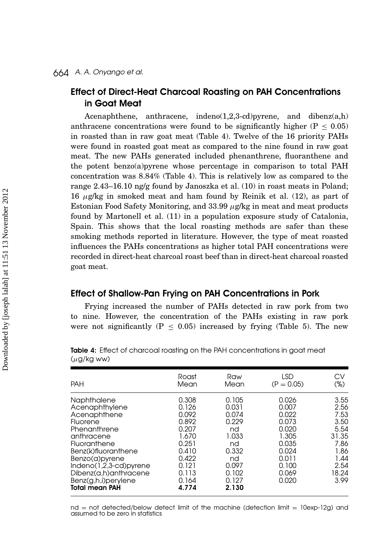## Effect of Direct-Heat Charcoal Roasting on PAH Concentrations in Goat Meat

Acenaphthene, anthracene, indeno $(1,2,3$ -cd)pyrene, and dibenz $(a,h)$ anthracene concentrations were found to be significantly higher ( $P \le 0.05$ ) in roasted than in raw goat meat (Table 4). Twelve of the 16 priority PAHs were found in roasted goat meat as compared to the nine found in raw goat meat. The new PAHs generated included phenanthrene, fluoranthene and the potent benzo(a)pyrene whose percentage in comparison to total PAH concentration was 8.84% (Table 4). This is relatively low as compared to the range 2.43–16.10 ng/g found by Janoszka et al. (10) in roast meats in Poland; 16 *µ*g/kg in smoked meat and ham found by Reinik et al. (12), as part of Estonian Food Safety Monitoring, and 33.99 *µ*g/kg in meat and meat products found by Martonell et al. (11) in a population exposure study of Catalonia, Spain. This shows that the local roasting methods are safer than these smoking methods reported in literature. However, the type of meat roasted influences the PAHs concentrations as higher total PAH concentrations were recorded in direct-heat charcoal roast beef than in direct-heat charcoal roasted goat meat.

#### Effect of Shallow-Pan Frying on PAH Concentrations in Pork

Frying increased the number of PAHs detected in raw pork from two to nine. However, the concentration of the PAHs existing in raw pork were not significantly ( $P \leq 0.05$ ) increased by frying (Table 5). The new

| <b>PAH</b>                                                                                                                                                                                                                                            | Roast                                                                                                             | Raw                                                                                                      | LSD                                                                                                      | СV                                                                                             |
|-------------------------------------------------------------------------------------------------------------------------------------------------------------------------------------------------------------------------------------------------------|-------------------------------------------------------------------------------------------------------------------|----------------------------------------------------------------------------------------------------------|----------------------------------------------------------------------------------------------------------|------------------------------------------------------------------------------------------------|
|                                                                                                                                                                                                                                                       | Mean                                                                                                              | Mean                                                                                                     | $(P = 0.05)$                                                                                             | $(\%)$                                                                                         |
| Naphthalene<br>Acenaphthylene<br>Acenaphthene<br>Fluorene<br>Phenanthrene<br>anthracene<br>Fluoranthene<br>Benz(k)fluoranthene<br>Benzo(a)pyrene<br>$Indeno(1,2,3-cd)pyrene$<br>Dibenz(a,h)anthracene<br>Benz(g,h,i)perylene<br><b>Total mean PAH</b> | 0.308<br>0.126<br>0.092<br>0.892<br>0.207<br>1.670<br>0.251<br>0.410<br>0.422<br>0.121<br>0.113<br>0.164<br>4.774 | 0.105<br>0.031<br>0.074<br>0.229<br>nd<br>1.033<br>nd<br>0.332<br>nd<br>0.097<br>0.102<br>0.127<br>2.130 | 0.026<br>0.007<br>0.022<br>0.073<br>0.020<br>1.305<br>0.035<br>0.024<br>0.011<br>0.100<br>0.069<br>0.020 | 3.55<br>2.56<br>7.53<br>3.50<br>5.54<br>31.35<br>7.86<br>1.86<br>1.44<br>2.54<br>18.24<br>3.99 |

Table 4: Effect of charcoal roasting on the PAH concentrations in goat meat (*µ*g/kg ww)

 $nd = not detected/below$  detect limit of the machine (detection limit  $= 10$ exp-12g) and assumed to be zero in statistics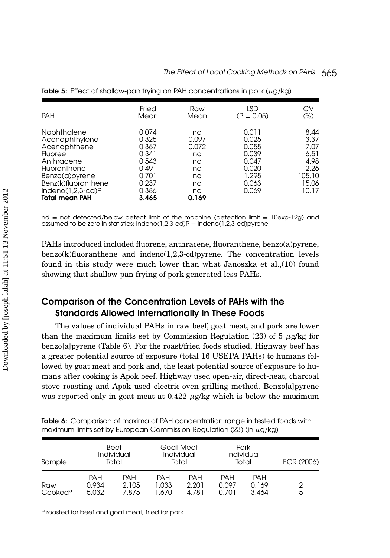| <b>PAH</b>                                                                                                                                                                      | Fried                                                                                  | Raw                                                               | <b>LSD</b>                                                                    | СV                                                                       |
|---------------------------------------------------------------------------------------------------------------------------------------------------------------------------------|----------------------------------------------------------------------------------------|-------------------------------------------------------------------|-------------------------------------------------------------------------------|--------------------------------------------------------------------------|
|                                                                                                                                                                                 | Mean                                                                                   | Mean                                                              | $(P = 0.05)$                                                                  | (%)                                                                      |
| Naphthalene<br>Acenaphthylene<br>Acenaphthene<br>Fluoree<br>Anthracene<br>Fluoranthene<br>Benzo(a)pyrene<br>Benz(k)fluoranthene<br>$Indeno(1,2,3-cd)P$<br><b>Total mean PAH</b> | 0.074<br>0.325<br>0.367<br>0.341<br>0.543<br>0.491<br>0.701<br>0.237<br>0.386<br>3.465 | nd<br>0.097<br>0.072<br>nd<br>nd<br>nd<br>nd<br>nd<br>nd<br>0.169 | 0.011<br>0.025<br>0.055<br>0.039<br>0.047<br>0.020<br>1.295<br>0.063<br>0.069 | 8.44<br>3.37<br>7.07<br>6.51<br>4.98<br>2.26<br>105.10<br>15.06<br>10.17 |

Table 5: Effect of shallow-pan frying on PAH concentrations in pork (*µ*g/kg)

nd = not detected/below detect limit of the machine (detection limit = 10exp-12g) and assumed to be zero in statistics; Indeno(1,2,3-cd)P = Indeno(1,2,3-cd)pyrene

PAHs introduced included fluorene, anthracene, fluoranthene, benzo(a)pyrene,  $benzo(k)$ fluoranthene and indeno $(1,2,3-cd)$ pyrene. The concentration levels found in this study were much lower than what Janoszka et al.,(10) found showing that shallow-pan frying of pork generated less PAHs.

## Comparison of the Concentration Levels of PAHs with the Standards Allowed Internationally in These Foods

The values of individual PAHs in raw beef, goat meat, and pork are lower than the maximum limits set by Commission Regulation (23) of 5  $\mu$ g/kg for benzo[a]pyrene (Table 6). For the roast/fried foods studied, Highway beef has a greater potential source of exposure (total 16 USEPA PAHs) to humans followed by goat meat and pork and, the least potential source of exposure to humans after cooking is Apok beef. Highway used open-air, direct-heat, charcoal stove roasting and Apok used electric-oven grilling method. Benzo[a]pyrene was reported only in goat meat at 0.422  $\mu$ g/kg which is below the maximum

| <b>Table 6:</b> Comparison of maxima of PAH concentration range in tested foods with |  |
|--------------------------------------------------------------------------------------|--|
| maximum limits set by European Commission Regulation (23) (in $\mu$ g/kg)            |  |

| Sample                     | <b>Beef</b><br>Individual<br>Total |                        | Goat Meat<br>Individual<br>Total |                              | Pork<br>Individual<br>Total  |                              | ECR (2006) |  |
|----------------------------|------------------------------------|------------------------|----------------------------------|------------------------------|------------------------------|------------------------------|------------|--|
| Raw<br>Cooked <sup>a</sup> | <b>PAH</b><br>0.934<br>5.032       | PAH<br>2.105<br>17.875 | <b>PAH</b><br>1.033<br>1.670     | <b>PAH</b><br>2.201<br>4.781 | <b>PAH</b><br>0.097<br>0.701 | <b>PAH</b><br>0.169<br>3.464 | 2<br>5     |  |

<sup>a</sup> roasted for beef and goat meat; fried for pork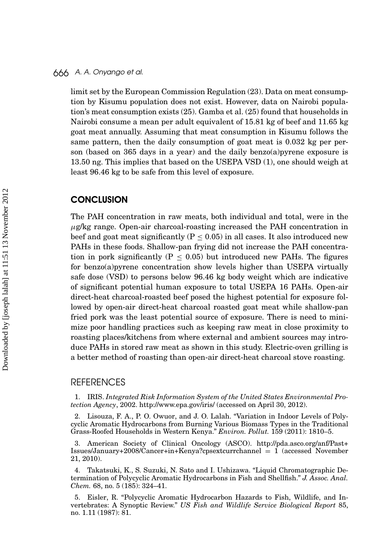limit set by the European Commission Regulation (23). Data on meat consumption by Kisumu population does not exist. However, data on Nairobi population's meat consumption exists (25). Gamba et al. (25) found that households in Nairobi consume a mean per adult equivalent of 15.81 kg of beef and 11.65 kg goat meat annually. Assuming that meat consumption in Kisumu follows the same pattern, then the daily consumption of goat meat is 0.032 kg per person (based on 365 days in a year) and the daily benzo(a)pyrene exposure is 13.50 ng. This implies that based on the USEPA VSD (1), one should weigh at least 96.46 kg to be safe from this level of exposure.

#### **CONCLUSION**

The PAH concentration in raw meats, both individual and total, were in the *µ*g/kg range. Open-air charcoal-roasting increased the PAH concentration in beef and goat meat significantly ( $P \leq 0.05$ ) in all cases. It also introduced new PAHs in these foods. Shallow-pan frying did not increase the PAH concentration in pork significantly ( $P \leq 0.05$ ) but introduced new PAHs. The figures for benzo(a)pyrene concentration show levels higher than USEPA virtually safe dose (VSD) to persons below 96.46 kg body weight which are indicative of significant potential human exposure to total USEPA 16 PAHs. Open-air direct-heat charcoal-roasted beef posed the highest potential for exposure followed by open-air direct-heat charcoal roasted goat meat while shallow-pan fried pork was the least potential source of exposure. There is need to minimize poor handling practices such as keeping raw meat in close proximity to roasting places/kitchens from where external and ambient sources may introduce PAHs in stored raw meat as shown in this study. Electric-oven grilling is a better method of roasting than open-air direct-heat charcoal stove roasting.

#### **REFERENCES**

1. IRIS. *Integrated Risk Information System of the United States Environmental Protection Agency*, 2002. http://www.epa.gov/iris/ (accessed on April 30, 2012).

2. Lisouza, F. A., P. O. Owuor, and J. O. Lalah. "Variation in Indoor Levels of Polycyclic Aromatic Hydrocarbons from Burning Various Biomass Types in the Traditional Grass-Roofed Households in Western Kenya." *Environ. Pollut.* 159 (2011): 1810–5.

3. American Society of Clinical Oncology (ASCO). http://pda.asco.org/anf/Past+ Issues/January+2008/Cancer+in+Kenya?cpsextcurrchannel = 1 (accessed November 21, 2010).

4. Takatsuki, K., S. Suzuki, N. Sato and I. Ushizawa. "Liquid Chromatographic Determination of Polycyclic Aromatic Hydrocarbons in Fish and Shellfish." *J. Assoc. Anal. Chem.* 68, no. 5 (185): 324–41.

5. Eisler, R. "Polycyclic Aromatic Hydrocarbon Hazards to Fish, Wildlife, and Invertebrates: A Synoptic Review." *US Fish and Wildlife Service Biological Report* 85, no. 1.11 (1987): 81.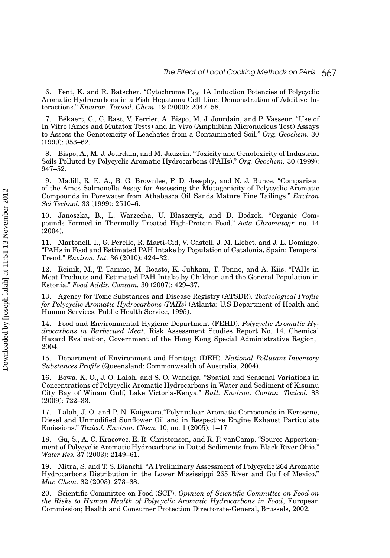6. Fent, K. and R. Bätscher. "Cytochrome  $P_{450}$  1A Induction Potencies of Polycyclic Aromatic Hydrocarbons in a Fish Hepatoma Cell Line: Demonstration of Additive Interactions." *Environ. Toxicol. Chem.* 19 (2000): 2047–58.

7. Bekaert, C., C. Rast, V. Ferrier, A. Bispo, M. J. Jourdain, and P. Vasseur. "Use of ´ In Vitro (Ames and Mutatox Tests) and In Vivo (Amphibian Micronucleus Test) Assays to Assess the Genotoxicity of Leachates from a Contaminated Soil." *Org. Geochem.* 30 (1999): 953–62.

8. Bispo, A., M. J. Jourdain, and M. Jauzein. "Toxicity and Genotoxicity of Industrial Soils Polluted by Polycyclic Aromatic Hydrocarbons (PAHs)." *Org. Geochem.* 30 (1999): 947–52.

9. Madill, R. E. A., B. G. Brownlee, P. D. Josephy, and N. J. Bunce. "Comparison of the Ames Salmonella Assay for Assessing the Mutagenicity of Polycyclic Aromatic Compounds in Porewater from Athabasca Oil Sands Mature Fine Tailings." *Environ Sci Technol.* 33 (1999): 2510–6.

10. Janoszka, B., L. Warzecha, U. Błaszczyk, and D. Bodzek. "Organic Compounds Formed in Thermally Treated High-Protein Food." *Acta Chromatogr.* no. 14 (2004).

11. Martonell, I., G. Perello, R. Marti-Cid, V. Castell, J. M. Llobet, and J. L. Domingo. "PAHs in Food and Estimated PAH Intake by Population of Catalonia, Spain: Temporal Trend." *Environ. Int.* 36 (2010): 424–32.

12. Reinik, M., T. Tamme, M. Roasto, K. Juhkam, T. Tenno, and A. Kiis. "PAHs in Meat Products and Estimated PAH Intake by Children and the General Population in Estonia." *Food Addit. Contam.* 30 (2007): 429–37.

13. Agency for Toxic Substances and Disease Registry (ATSDR). *Toxicological Profile for Polycyclic Aromatic Hydrocarbons (PAHs)* (Atlanta: U.S Department of Health and Human Services, Public Health Service, 1995).

14. Food and Environmental Hygiene Department (FEHD). *Polycyclic Aromatic Hydrocarbons in Barbecued Meat*, Risk Assessment Studies Report No. 14, Chemical Hazard Evaluation, Government of the Hong Kong Special Administrative Region, 2004.

15. Department of Environment and Heritage (DEH). *National Pollutant Inventory Substances Profile* (Queensland: Commonwealth of Australia, 2004).

16. Bowa, K. O., J. O. Lalah, and S. O. Wandiga. "Spatial and Seasonal Variations in Concentrations of Polycyclic Aromatic Hydrocarbons in Water and Sediment of Kisumu City Bay of Winam Gulf, Lake Victoria-Kenya." *Bull. Environ. Contan. Toxicol.* 83 (2009): 722–33.

17. Lalah, J. O. and P. N. Kaigwara."Polynuclear Aromatic Compounds in Kerosene, Diesel and Unmodified Sunflower Oil and in Respective Engine Exhaust Particulate Emissions." *Toxicol. Environ. Chem.* 10, no. 1 (2005): 1–17.

18. Gu, S., A. C. Kracovec, E. R. Christensen, and R. P. vanCamp. "Source Apportionment of Polycyclic Aromatic Hydrocarbons in Dated Sediments from Black River Ohio." *Water Res.* 37 (2003): 2149–61.

19. Mitra, S. and T. S. Bianchi. "A Preliminary Assessment of Polycyclic 264 Aromatic Hydrocarbons Distribution in the Lower Mississippi 265 River and Gulf of Mexico." *Mar. Chem.* 82 (2003): 273–88.

20. Scientific Committee on Food (SCF). *Opinion of Scientific Committee on Food on the Risks to Human Health of Polycyclic Aromatic Hydrocarbons in Food*, European Commission; Health and Consumer Protection Directorate-General, Brussels, 2002.